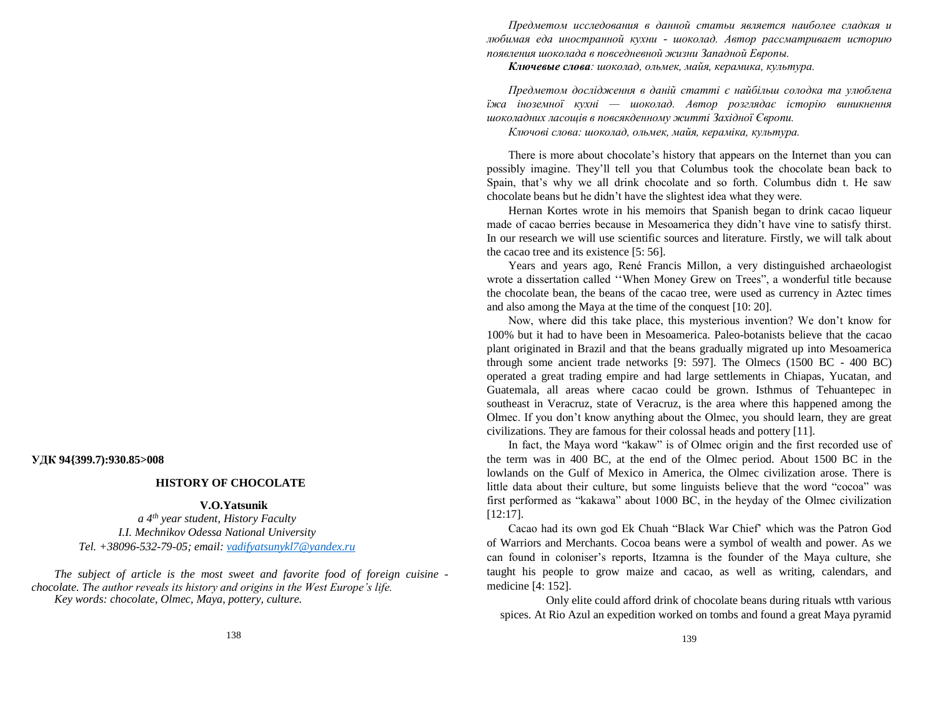## **УДК 94{399.7):930.85>008**

## **HISTORY OF CHOCOLATE**

## **V.O.Yatsunik**

*a 4th year student, History Faculty I.I. Mechnikov Odessa National University Tel. +38096-532-79-05; email: [vadifyatsunykl7@yandex.ru](mailto:vadifyatsunykl7@yandex.ru)*

*The subject of article is the most sweet and favorite food of foreign cuisine chocolate. The author reveals its history and origins in the West Europe's life. Key words: chocolate, Olmec, Maya, pottery, culture.*

*Предметом исследования в данной статьи является наиболее сладкая и любимая еда иностранной кухни - шоколад. Автор рассматривает историю появления шоколада в повседневной жизни Западной Европы.*

*Ключевые слова: шоколад, ольмек, майя, керамика, культура.*

*Предметом дослідження в даній статті є найбільш солодка та улюблена їжа іноземної кухні — шоколад. Автор розглядає історію виникнення шоколадних ласощів в повсякденному житті Західної Європи.*

*Ключові слова: шоколад, ольмек, майя, кераміка, культура.*

There is more about chocolate's history that appears on the Internet than you can possibly imagine. They'll tell you that Columbus took the chocolate bean back to Spain, that's why we all drink chocolate and so forth. Columbus didn t. He saw chocolate beans but he didn't have the slightest idea what they were.

Hernan Kortes wrote in his memoirs that Spanish began to drink cacao liqueur made of cacao berries because in Mesoamerica they didn't have vine to satisfy thirst. In our research we will use scientific sources and literature. Firstly, we will talk about the cacao tree and its existence [5: 56].

Years and years ago, René Francis Millon, a very distinguished archaeologist wrote a dissertation called ''When Money Grew on Trees", a wonderful title because the chocolate bean, the beans of the cacao tree, were used as currency in Aztec times and also among the Maya at the time of the conquest [10: 20].

Now, where did this take place, this mysterious invention? We don't know for 100% but it had to have been in Mesoamerica. Paleo-botanists believe that the cacao plant originated in Brazil and that the beans gradually migrated up into Mesoamerica through some ancient trade networks [9: 597]. The Olmecs (1500 BC - 400 BC) operated a great trading empire and had large settlements in Chiapas, Yucatan, and Guatemala, all areas where cacao could be grown. Isthmus of Tehuantepec in southeast in Veracruz, state of Veracruz, is the area where this happened among the Olmec. If you don't know anything about the Olmec, you should learn, they are great civilizations. They are famous for their colossal heads and pottery [11].

In fact, the Maya word "kakaw" is of Olmec origin and the first recorded use of the term was in 400 BC, at the end of the Olmec period. About 1500 BC in the lowlands on the Gulf of Mexico in America, the Olmec civilization arose. There is little data about their culture, but some linguists believe that the word "cocoa" was first performed as "kakawa" about 1000 BC, in the heyday of the Olmec civilization [12:17].

Cacao had its own god Ek Chuah "Black War Chief' which was the Patron God of Warriors and Merchants. Cocoa beans were a symbol of wealth and power. As we can found in coloniser's reports, Itzamna is the founder of the Maya culture, she taught his people to grow maize and cacao, as well as writing, calendars, and medicine [4: 152].

Only elite could afford drink of chocolate beans during rituals wtth various spices. At Rio Azul an expedition worked on tombs and found a great Maya pyramid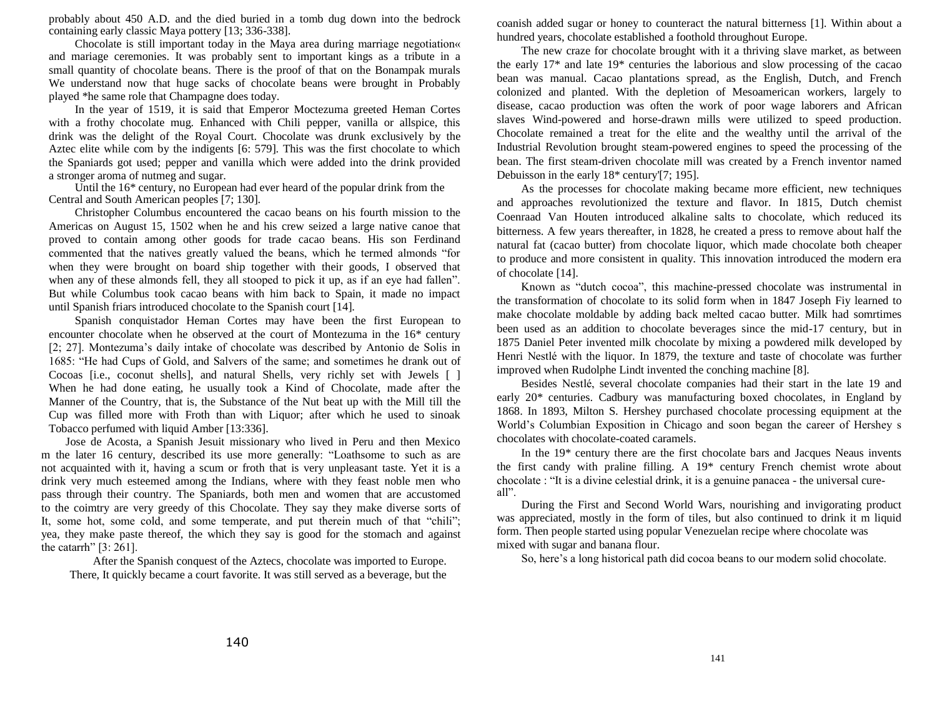probably about 450 A.D. and the died buried in a tomb dug down into the bedrock containing early classic Maya pottery [13; 336-338].

Chocolate is still important today in the Maya area during marriage negotiation« and mariage ceremonies. It was probably sent to important kings as a tribute in a small quantity of chocolate beans. There is the proof of that on the Bonampak murals We understand now that huge sacks of chocolate beans were brought in Probably played \*he same role that Champagne does today.

In the year of 1519, it is said that Emperor Moctezuma greeted Heman Cortes with a frothy chocolate mug. Enhanced with Chili pepper, vanilla or allspice, this drink was the delight of the Royal Court. Chocolate was drunk exclusively by the Aztec elite while com by the indigents [6: 579]. This was the first chocolate to which the Spaniards got used; pepper and vanilla which were added into the drink provided a stronger aroma of nutmeg and sugar.

Until the 16\* century, no European had ever heard of the popular drink from the Central and South American peoples [7; 130].

Christopher Columbus encountered the cacao beans on his fourth mission to the Americas on August 15, 1502 when he and his crew seized a large native canoe that proved to contain among other goods for trade cacao beans. His son Ferdinand commented that the natives greatly valued the beans, which he termed almonds "for when they were brought on board ship together with their goods, I observed that when any of these almonds fell, they all stooped to pick it up, as if an eye had fallen". But while Columbus took cacao beans with him back to Spain, it made no impact until Spanish friars introduced chocolate to the Spanish court [14].

Spanish conquistador Heman Cortes may have been the first European to encounter chocolate when he observed at the court of Montezuma in the 16\* century [2; 27]. Montezuma's daily intake of chocolate was described by Antonio de Solis in 1685: "He had Cups of Gold, and Salvers of the same; and sometimes he drank out of Cocoas [i.e., coconut shells], and natural Shells, very richly set with Jewels [ ] When he had done eating, he usually took a Kind of Chocolate, made after the Manner of the Country, that is, the Substance of the Nut beat up with the Mill till the Cup was filled more with Froth than with Liquor; after which he used to sinoak Tobacco perfumed with liquid Amber [13:336].

Jose de Acosta, a Spanish Jesuit missionary who lived in Peru and then Mexico m the later 16 century, described its use more generally: "Loathsome to such as are not acquainted with it, having a scum or froth that is very unpleasant taste. Yet it is a drink very much esteemed among the Indians, where with they feast noble men who pass through their country. The Spaniards, both men and women that are accustomed to the coimtry are very greedy of this Chocolate. They say they make diverse sorts of It, some hot, some cold, and some temperate, and put therein much of that "chili"; yea, they make paste thereof, the which they say is good for the stomach and against the catarrh" [3: 261].

After the Spanish conquest of the Aztecs, chocolate was imported to Europe. There, It quickly became a court favorite. It was still served as a beverage, but the

coanish added sugar or honey to counteract the natural bitterness [1]. Within about a hundred years, chocolate established a foothold throughout Europe.

The new craze for chocolate brought with it a thriving slave market, as between the early 17\* and late 19\* centuries the laborious and slow processing of the cacao bean was manual. Cacao plantations spread, as the English, Dutch, and French colonized and planted. With the depletion of Mesoamerican workers, largely to disease, cacao production was often the work of poor wage laborers and African slaves Wind-powered and horse-drawn mills were utilized to speed production. Chocolate remained a treat for the elite and the wealthy until the arrival of the Industrial Revolution brought steam-powered engines to speed the processing of the bean. The first steam-driven chocolate mill was created by a French inventor named Debuisson in the early 18\* century'[7; 195].

As the processes for chocolate making became more efficient, new techniques and approaches revolutionized the texture and flavor. In 1815, Dutch chemist Coenraad Van Houten introduced alkaline salts to chocolate, which reduced its bitterness. A few years thereafter, in 1828, he created a press to remove about half the natural fat (cacao butter) from chocolate liquor, which made chocolate both cheaper to produce and more consistent in quality. This innovation introduced the modern era of chocolate [14].

Known as "dutch cocoa", this machine-pressed chocolate was instrumental in the transformation of chocolate to its solid form when in 1847 Joseph Fiy learned to make chocolate moldable by adding back melted cacao butter. Milk had somrtimes been used as an addition to chocolate beverages since the mid-17 century, but in 1875 Daniel Peter invented milk chocolate by mixing a powdered milk developed by Henri Nestlé with the liquor. In 1879, the texture and taste of chocolate was further improved when Rudolphe Lindt invented the conching machine [8].

Besides Nestlé, several chocolate companies had their start in the late 19 and early 20\* centuries. Cadbury was manufacturing boxed chocolates, in England by 1868. In 1893, Milton S. Hershey purchased chocolate processing equipment at the World's Columbian Exposition in Chicago and soon began the career of Hershey s chocolates with chocolate-coated caramels.

In the 19\* century there are the first chocolate bars and Jacques Neaus invents the first candy with praline filling. A 19\* century French chemist wrote about chocolate : "It is a divine celestial drink, it is a genuine panacea - the universal cureall".

During the First and Second World Wars, nourishing and invigorating product was appreciated, mostly in the form of tiles, but also continued to drink it m liquid form. Then people started using popular Venezuelan recipe where chocolate was mixed with sugar and banana flour.

So, here's a long historical path did cocoa beans to our modern solid chocolate.